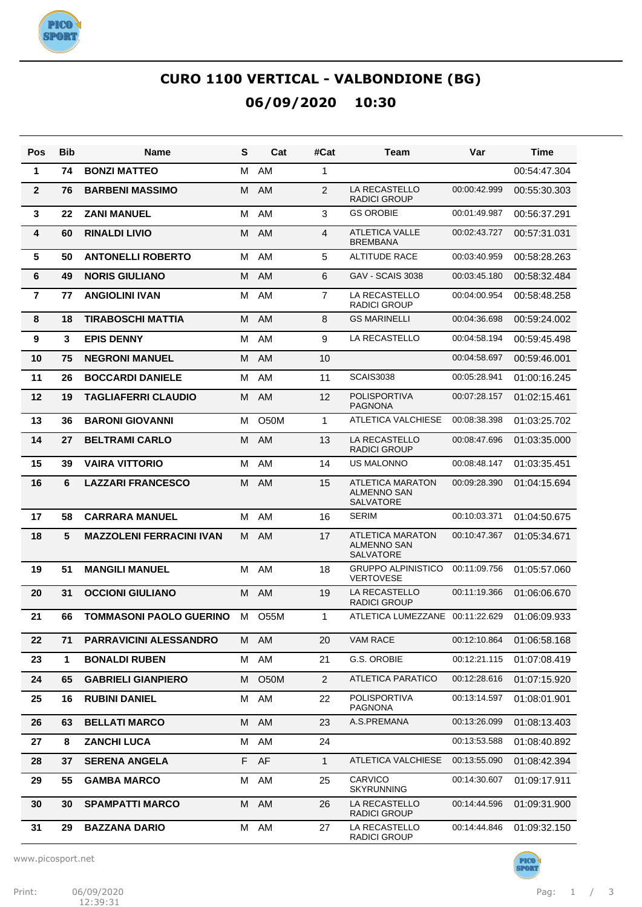

# **CURO 1100 VERTICAL - VALBONDIONE (BG) 06/09/2020 10:30**

| Pos            | <b>Bib</b> | <b>Name</b>                     | S | Cat               | #Cat           | Team                                                              | Var          | Time         |
|----------------|------------|---------------------------------|---|-------------------|----------------|-------------------------------------------------------------------|--------------|--------------|
| 1              | 74         | <b>BONZI MATTEO</b>             | м | AM                | 1              |                                                                   |              | 00:54:47.304 |
| $\mathbf{2}$   | 76         | <b>BARBENI MASSIMO</b>          | м | AM                | 2              | <b>LA RECASTELLO</b><br><b>RADICI GROUP</b>                       | 00:00:42.999 | 00:55:30.303 |
| 3              | 22         | <b>ZANI MANUEL</b>              | м | AM                | 3              | <b>GS OROBIE</b>                                                  | 00:01:49.987 | 00:56:37.291 |
| 4              | 60         | <b>RINALDI LIVIO</b>            | м | AM                | 4              | <b>ATLETICA VALLE</b><br><b>BREMBANA</b>                          | 00:02:43.727 | 00:57:31.031 |
| 5              | 50         | <b>ANTONELLI ROBERTO</b>        | М | AM                | 5              | <b>ALTITUDE RACE</b>                                              | 00:03:40.959 | 00:58:28.263 |
| 6              | 49         | <b>NORIS GIULIANO</b>           | М | AM                | 6              | <b>GAV - SCAIS 3038</b>                                           | 00:03:45.180 | 00:58:32.484 |
| $\overline{7}$ | 77         | <b>ANGIOLINI IVAN</b>           | м | AM                | $\overline{7}$ | LA RECASTELLO<br><b>RADICI GROUP</b>                              | 00:04:00.954 | 00:58:48.258 |
| 8              | 18         | <b>TIRABOSCHI MATTIA</b>        | М | AM                | 8              | <b>GS MARINELLI</b>                                               | 00:04:36.698 | 00:59:24.002 |
| 9              | 3          | <b>EPIS DENNY</b>               | м | AM                | 9              | LA RECASTELLO                                                     | 00:04:58.194 | 00:59:45.498 |
| 10             | 75         | <b>NEGRONI MANUEL</b>           | М | AM                | 10             |                                                                   | 00:04:58.697 | 00:59:46.001 |
| 11             | 26         | <b>BOCCARDI DANIELE</b>         | м | AM                | 11             | <b>SCAIS3038</b>                                                  | 00:05:28.941 | 01:00:16.245 |
| 12             | 19         | <b>TAGLIAFERRI CLAUDIO</b>      | М | AM                | 12             | <b>POLISPORTIVA</b><br><b>PAGNONA</b>                             | 00:07:28.157 | 01:02:15.461 |
| 13             | 36         | <b>BARONI GIOVANNI</b>          | м | O <sub>5</sub> 0M | 1              | ATLETICA VALCHIESE                                                | 00:08:38.398 | 01:03:25.702 |
| 14             | 27         | <b>BELTRAMI CARLO</b>           | м | AM                | 13             | LA RECASTELLO<br><b>RADICI GROUP</b>                              | 00:08:47.696 | 01:03:35.000 |
| 15             | 39         | <b>VAIRA VITTORIO</b>           | М | AM                | 14             | <b>US MALONNO</b>                                                 | 00:08:48.147 | 01:03:35.451 |
| 16             | 6          | <b>LAZZARI FRANCESCO</b>        | М | AM                | 15             | ATLETICA MARATON<br><b>ALMENNO SAN</b><br><b>SALVATORE</b>        | 00:09:28.390 | 01:04:15.694 |
| 17             | 58         | <b>CARRARA MANUEL</b>           | м | AM                | 16             | <b>SERIM</b>                                                      | 00:10:03.371 | 01:04:50.675 |
| 18             | 5          | <b>MAZZOLENI FERRACINI IVAN</b> | М | AM                | 17             | <b>ATLETICA MARATON</b><br><b>ALMENNO SAN</b><br><b>SALVATORE</b> | 00:10:47.367 | 01:05:34.671 |
| 19             | 51         | <b>MANGILI MANUEL</b>           | м | AM                | 18             | <b>GRUPPO ALPINISTICO</b><br><b>VERTOVESE</b>                     | 00:11:09.756 | 01:05:57.060 |
| 20             | 31         | <b>OCCIONI GIULIANO</b>         | M | AM                | 19             | LA RECASTELLO<br><b>RADICI GROUP</b>                              | 00:11:19.366 | 01:06:06.670 |
| 21             | 66         | <b>TOMMASONI PAOLO GUERINO</b>  | м | <b>O55M</b>       | 1              | ATLETICA LUMEZZANE 00:11:22.629                                   |              | 01:06:09.933 |
| 22             | 71         | <b>PARRAVICINI ALESSANDRO</b>   |   | M AM              | 20             | VAM RACE                                                          | 00:12:10.864 | 01:06:58.168 |
| 23             | 1          | <b>BONALDI RUBEN</b>            | м | AM                | 21             | G.S. OROBIE                                                       | 00:12:21.115 | 01:07:08.419 |
| 24             | 65         | <b>GABRIELI GIANPIERO</b>       | М | O <sub>5</sub> 0M | $\overline{2}$ | <b>ATLETICA PARATICO</b>                                          | 00:12:28.616 | 01:07:15.920 |
| 25             | 16         | <b>RUBINI DANIEL</b>            | M | AM                | 22             | <b>POLISPORTIVA</b><br><b>PAGNONA</b>                             | 00:13:14.597 | 01:08:01.901 |
| 26             | 63         | <b>BELLATI MARCO</b>            |   | M AM              | 23             | A.S.PREMANA                                                       | 00:13:26.099 | 01:08:13.403 |
| 27             | 8          | <b>ZANCHI LUCA</b>              |   | M AM              | 24             |                                                                   | 00:13:53.588 | 01:08:40.892 |
| 28             | 37         | <b>SERENA ANGELA</b>            |   | F AF              | $\mathbf{1}$   | <b>ATLETICA VALCHIESE</b>                                         | 00:13:55.090 | 01:08:42.394 |
| 29             | 55         | <b>GAMBA MARCO</b>              |   | M AM              | 25             | <b>CARVICO</b><br><b>SKYRUNNING</b>                               | 00:14:30.607 | 01:09:17.911 |
| 30             | 30         | <b>SPAMPATTI MARCO</b>          |   | M AM              | 26             | LA RECASTELLO<br><b>RADICI GROUP</b>                              | 00:14:44.596 | 01:09:31.900 |
| 31             | 29         | <b>BAZZANA DARIO</b>            |   | M AM              | 27             | LA RECASTELLO<br>RADICI GROUP                                     | 00:14:44.846 | 01:09:32.150 |

www.picosport.net

PICO<br>SPORT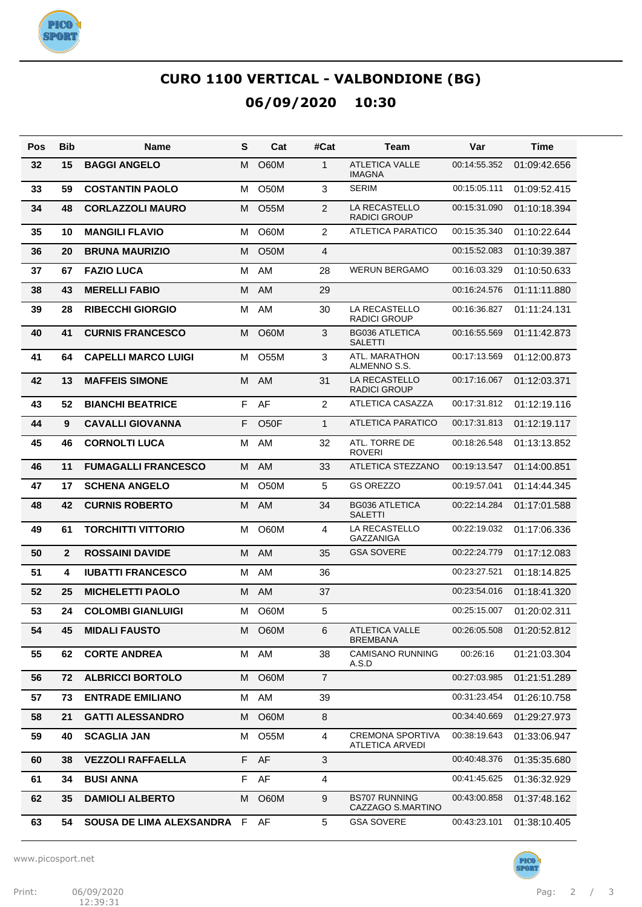

#### **CURO 1100 VERTICAL - VALBONDIONE (BG) 06/09/2020 10:30**

| Pos | Bib            | <b>Name</b>                     | S  | Cat               | #Cat           | Team                                              | Var          | Time         |
|-----|----------------|---------------------------------|----|-------------------|----------------|---------------------------------------------------|--------------|--------------|
| 32  | 15             | <b>BAGGI ANGELO</b>             | м  | O60M              | $\mathbf{1}$   | <b>ATLETICA VALLE</b><br><b>IMAGNA</b>            | 00:14:55.352 | 01:09:42.656 |
| 33  | 59             | <b>COSTANTIN PAOLO</b>          | M  | O <sub>5</sub> 0M | 3              | <b>SERIM</b>                                      | 00:15:05.111 | 01:09:52.415 |
| 34  | 48             | <b>CORLAZZOLI MAURO</b>         | м  | <b>O55M</b>       | $\overline{2}$ | LA RECASTELLO<br><b>RADICI GROUP</b>              | 00:15:31.090 | 01:10:18.394 |
| 35  | 10             | <b>MANGILI FLAVIO</b>           | M  | O60M              | $\overline{2}$ | <b>ATLETICA PARATICO</b>                          | 00:15:35.340 | 01:10:22.644 |
| 36  | 20             | <b>BRUNA MAURIZIO</b>           | M  | <b>O50M</b>       | 4              |                                                   | 00:15:52.083 | 01:10:39.387 |
| 37  | 67             | <b>FAZIO LUCA</b>               | М  | AM                | 28             | <b>WERUN BERGAMO</b>                              | 00:16:03.329 | 01:10:50.633 |
| 38  | 43             | <b>MERELLI FABIO</b>            | M  | AM                | 29             |                                                   | 00:16:24.576 | 01:11:11.880 |
| 39  | 28             | <b>RIBECCHI GIORGIO</b>         | M  | AM                | 30             | LA RECASTELLO<br><b>RADICI GROUP</b>              | 00:16:36.827 | 01:11:24.131 |
| 40  | 41             | <b>CURNIS FRANCESCO</b>         | м  | <b>O60M</b>       | 3              | <b>BG036 ATLETICA</b><br><b>SALETTI</b>           | 00:16:55.569 | 01:11:42.873 |
| 41  | 64             | <b>CAPELLI MARCO LUIGI</b>      | M  | <b>O55M</b>       | 3              | ATL. MARATHON<br>ALMENNO S.S.                     | 00:17:13.569 | 01:12:00.873 |
| 42  | 13             | <b>MAFFEIS SIMONE</b>           | M  | AM                | 31             | LA RECASTELLO<br><b>RADICI GROUP</b>              | 00:17:16.067 | 01:12:03.371 |
| 43  | 52             | <b>BIANCHI BEATRICE</b>         | F  | AF                | 2              | ATLETICA CASAZZA                                  | 00:17:31.812 | 01:12:19.116 |
| 44  | 9              | <b>CAVALLI GIOVANNA</b>         | F  | O <sub>5</sub> OF | $\mathbf{1}$   | <b>ATLETICA PARATICO</b>                          | 00:17:31.813 | 01:12:19.117 |
| 45  | 46             | <b>CORNOLTI LUCA</b>            | M  | AM                | 32             | ATL. TORRE DE<br><b>ROVERI</b>                    | 00:18:26.548 | 01:13:13.852 |
| 46  | 11             | <b>FUMAGALLI FRANCESCO</b>      | м  | AM                | 33             | ATLETICA STEZZANO                                 | 00:19:13.547 | 01:14:00.851 |
| 47  | 17             | <b>SCHENA ANGELO</b>            | М  | <b>O50M</b>       | 5              | <b>GS OREZZO</b>                                  | 00:19:57.041 | 01:14:44.345 |
| 48  | 42             | <b>CURNIS ROBERTO</b>           | м  | AM                | 34             | <b>BG036 ATLETICA</b><br><b>SALETTI</b>           | 00:22:14.284 | 01:17:01.588 |
| 49  | 61             | <b>TORCHITTI VITTORIO</b>       | м  | O60M              | 4              | LA RECASTELLO<br>GAZZANIGA                        | 00:22:19.032 | 01:17:06.336 |
| 50  | $\overline{2}$ | <b>ROSSAINI DAVIDE</b>          | M  | AM                | 35             | <b>GSA SOVERE</b>                                 | 00:22:24.779 | 01:17:12.083 |
| 51  | 4              | <b>IUBATTI FRANCESCO</b>        | M  | AM                | 36             |                                                   | 00:23:27.521 | 01:18:14.825 |
| 52  | 25             | <b>MICHELETTI PAOLO</b>         | м  | AM                | 37             |                                                   | 00:23:54.016 | 01:18:41.320 |
| 53  | 24             | <b>COLOMBI GIANLUIGI</b>        | м  | O60M              | 5              |                                                   | 00:25:15.007 | 01:20:02.311 |
| 54  | 45             | <b>MIDALI FAUSTO</b>            | М  | <b>O60M</b>       | 6              | <b>ATLETICA VALLE</b><br><b>BREMBANA</b>          | 00:26:05.508 | 01:20:52.812 |
| 55  | 62             | <b>CORTE ANDREA</b>             | M  | AM                | 38             | <b>CAMISANO RUNNING</b><br>A.S.D                  | 00:26:16     | 01:21:03.304 |
| 56  | 72             | <b>ALBRICCI BORTOLO</b>         | м  | O60M              | $\overline{7}$ |                                                   | 00:27:03.985 | 01:21:51.289 |
| 57  | 73             | <b>ENTRADE EMILIANO</b>         | м  | AM                | 39             |                                                   | 00:31:23.454 | 01:26:10.758 |
| 58  | 21             | <b>GATTI ALESSANDRO</b>         | м  | O60M              | 8              |                                                   | 00:34:40.669 | 01:29:27.973 |
| 59  | 40             | <b>SCAGLIA JAN</b>              | м  | <b>O55M</b>       | 4              | <b>CREMONA SPORTIVA</b><br><b>ATLETICA ARVEDI</b> | 00:38:19.643 | 01:33:06.947 |
| 60  | 38             | <b>VEZZOLI RAFFAELLA</b>        | F  | AF                | 3              |                                                   | 00:40:48.376 | 01:35:35.680 |
| 61  | 34             | <b>BUSI ANNA</b>                | F  | AF                | 4              |                                                   | 00:41:45.625 | 01:36:32.929 |
| 62  | 35             | <b>DAMIOLI ALBERTO</b>          | M  | O60M              | 9              | <b>BS707 RUNNING</b><br>CAZZAGO S.MARTINO         | 00:43:00.858 | 01:37:48.162 |
| 63  | 54             | <b>SOUSA DE LIMA ALEXSANDRA</b> | F. | AF                | 5              | <b>GSA SOVERE</b>                                 | 00:43:23.101 | 01:38:10.405 |

www.picosport.net



PICO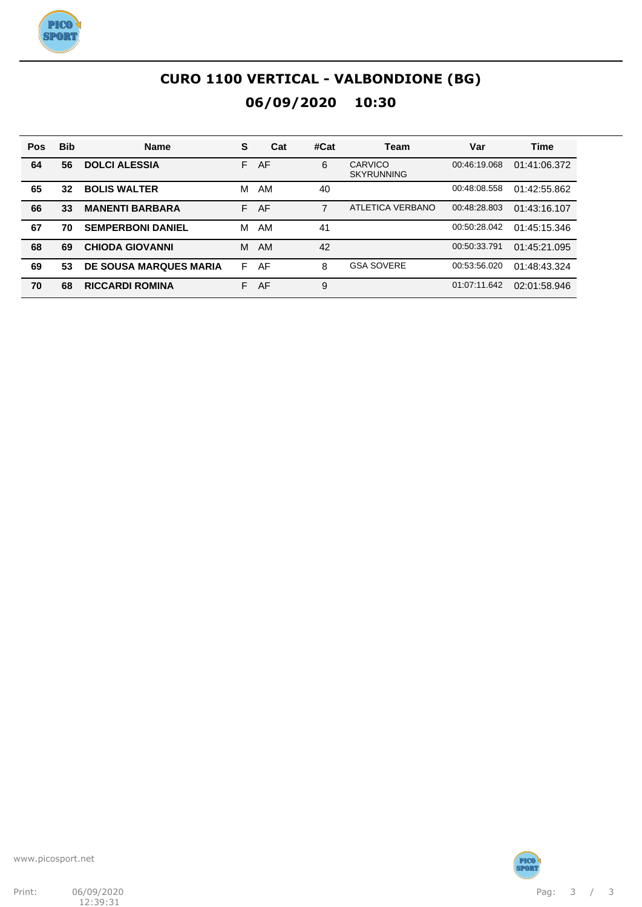

# **CURO 1100 VERTICAL - VALBONDIONE (BG) 06/09/2020 10:30**

| Pos | <b>Bib</b> | <b>Name</b>                   | S  | Cat       | #Cat | Team                         | Var          | <b>Time</b>  |
|-----|------------|-------------------------------|----|-----------|------|------------------------------|--------------|--------------|
| 64  | 56         | <b>DOLCI ALESSIA</b>          | F. | AF        | 6    | CARVICO<br><b>SKYRUNNING</b> | 00:46:19.068 | 01:41:06.372 |
| 65  | 32         | <b>BOLIS WALTER</b>           | м  | AM        | 40   |                              | 00:48:08.558 | 01:42:55.862 |
| 66  | 33         | <b>MANENTI BARBARA</b>        | F. | AF        | 7    | <b>ATLETICA VERBANO</b>      | 00:48:28.803 | 01:43:16.107 |
| 67  | 70         | <b>SEMPERBONI DANIEL</b>      | м  | AM        | 41   |                              | 00:50:28.042 | 01:45:15.346 |
| 68  | 69         | <b>CHIODA GIOVANNI</b>        | м  | <b>AM</b> | 42   |                              | 00:50:33.791 | 01:45:21.095 |
| 69  | 53         | <b>DE SOUSA MARQUES MARIA</b> | F  | AF        | 8    | <b>GSA SOVERE</b>            | 00:53:56.020 | 01:48:43.324 |
| 70  | 68         | <b>RICCARDI ROMINA</b>        | F. | AF        | 9    |                              | 01:07:11.642 | 02:01:58.946 |



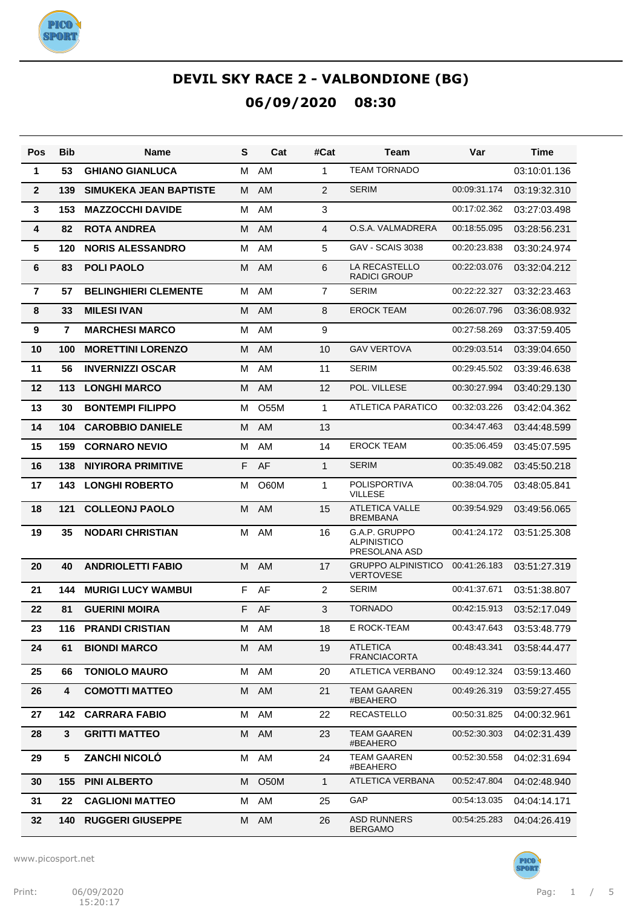

| Pos            | <b>Bib</b>     | Name                        | S  | Cat               | #Cat           | Team                                                 | Var          | <b>Time</b>                |
|----------------|----------------|-----------------------------|----|-------------------|----------------|------------------------------------------------------|--------------|----------------------------|
| 1              | 53             | <b>GHIANO GIANLUCA</b>      | м  | AM                | 1              | <b>TEAM TORNADO</b>                                  |              | 03:10:01.136               |
| $\overline{2}$ | 139            | SIMUKEKA JEAN BAPTISTE      | М  | AM                | $\overline{2}$ | <b>SERIM</b>                                         | 00:09:31.174 | 03:19:32.310               |
| 3              | 153            | <b>MAZZOCCHI DAVIDE</b>     | м  | AM                | 3              |                                                      | 00:17:02.362 | 03:27:03.498               |
| 4              | 82             | <b>ROTA ANDREA</b>          | M  | AM                | 4              | O.S.A. VALMADRERA                                    | 00:18:55.095 | 03:28:56.231               |
| 5              | 120            | <b>NORIS ALESSANDRO</b>     | м  | AM                | 5              | GAV - SCAIS 3038                                     | 00:20:23.838 | 03:30:24.974               |
| 6              | 83             | <b>POLI PAOLO</b>           | М  | AM                | 6              | LA RECASTELLO<br><b>RADICI GROUP</b>                 | 00:22:03.076 | 03:32:04.212               |
| $\overline{7}$ | 57             | <b>BELINGHIERI CLEMENTE</b> | М  | AM                | $\overline{7}$ | <b>SERIM</b>                                         | 00:22:22.327 | 03:32:23.463               |
| 8              | 33             | <b>MILESI IVAN</b>          | м  | AM                | 8              | <b>EROCK TEAM</b>                                    | 00:26:07.796 | 03:36:08.932               |
| 9              | $\overline{7}$ | <b>MARCHESI MARCO</b>       | м  | AM                | 9              |                                                      | 00:27:58.269 | 03:37:59.405               |
| 10             | 100            | <b>MORETTINI LORENZO</b>    | м  | AM                | 10             | <b>GAV VERTOVA</b>                                   | 00:29:03.514 | 03:39:04.650               |
| 11             | 56             | <b>INVERNIZZI OSCAR</b>     | м  | AM                | 11             | <b>SERIM</b>                                         | 00:29:45.502 | 03:39:46.638               |
| 12             | 113            | <b>LONGHI MARCO</b>         | м  | AM                | 12             | POL. VILLESE                                         | 00:30:27.994 | 03:40:29.130               |
| 13             | 30             | <b>BONTEMPI FILIPPO</b>     | м  | <b>O55M</b>       | 1              | <b>ATLETICA PARATICO</b>                             | 00:32:03.226 | 03:42:04.362               |
| 14             | 104            | <b>CAROBBIO DANIELE</b>     | м  | AM                | 13             |                                                      | 00:34:47.463 | 03:44:48.599               |
| 15             | 159            | <b>CORNARO NEVIO</b>        | м  | AM                | 14             | <b>EROCK TEAM</b>                                    | 00:35:06.459 | 03:45:07.595               |
| 16             | 138            | <b>NIYIRORA PRIMITIVE</b>   | F. | AF                | $\mathbf{1}$   | <b>SERIM</b>                                         | 00:35:49.082 | 03:45:50.218               |
| 17             | 143            | <b>LONGHI ROBERTO</b>       | м  | O60M              | $\mathbf{1}$   | POLISPORTIVA<br><b>VILLESE</b>                       | 00:38:04.705 | 03:48:05.841               |
| 18             | 121            | <b>COLLEONJ PAOLO</b>       | М  | AM                | 15             | <b>ATLETICA VALLE</b><br><b>BREMBANA</b>             | 00:39:54.929 | 03:49:56.065               |
| 19             | 35             | <b>NODARI CHRISTIAN</b>     | м  | AM                | 16             | G.A.P. GRUPPO<br><b>ALPINISTICO</b><br>PRESOLANA ASD | 00:41:24.172 | 03:51:25.308               |
| 20             | 40             | <b>ANDRIOLETTI FABIO</b>    | M  | AM                | 17             | <b>GRUPPO ALPINISTICO</b><br><b>VERTOVESE</b>        | 00:41:26.183 | 03:51:27.319               |
| 21             | 144            | <b>MURIGI LUCY WAMBUI</b>   |    | F AF              | $\overline{2}$ | <b>SERIM</b>                                         | 00:41:37.671 | 03:51:38.807               |
| 22             | 81             | <b>GUERINI MOIRA</b>        |    | F AF              | 3              | <b>TORNADO</b>                                       | 00:42:15.913 | 03:52:17.049               |
| 23             | 116            | <b>PRANDI CRISTIAN</b>      |    | M AM              | 18             | E ROCK-TEAM                                          |              | 00:43:47.643  03:53:48.779 |
| 24             | 61             | <b>BIONDI MARCO</b>         |    | M AM              | 19             | <b>ATLETICA</b><br><b>FRANCIACORTA</b>               | 00:48:43.341 | 03:58:44.477               |
| 25             | 66             | <b>TONIOLO MAURO</b>        | M  | AM                | 20             | ATLETICA VERBANO                                     | 00:49:12.324 | 03:59:13.460               |
| 26             | 4              | <b>COMOTTI MATTEO</b>       | M  | AM                | 21             | TEAM GAAREN<br>#BEAHERO                              | 00:49:26.319 | 03:59:27.455               |
| 27             | 142            | <b>CARRARA FABIO</b>        |    | M AM              | 22             | <b>RECASTELLO</b>                                    | 00:50:31.825 | 04:00:32.961               |
| 28             | 3              | <b>GRITTI MATTEO</b>        | M  | AM                | 23             | TEAM GAAREN<br>#BEAHERO                              | 00:52:30.303 | 04:02:31.439               |
| 29             | 5              | <b>ZANCHI NICOLÓ</b>        | M  | AM                | 24             | <b>TEAM GAAREN</b><br>#BEAHERO                       | 00:52:30.558 | 04:02:31.694               |
| 30             | 155            | <b>PINI ALBERTO</b>         | М  | O <sub>5</sub> 0M | $\mathbf{1}$   | ATLETICA VERBANA                                     | 00:52:47.804 | 04:02:48.940               |
| 31             | 22             | <b>CAGLIONI MATTEO</b>      | м  | AM                | 25             | GAP                                                  | 00:54:13.035 | 04:04:14.171               |
| 32             | 140            | <b>RUGGERI GIUSEPPE</b>     | Μ  | AM                | 26             | <b>ASD RUNNERS</b><br><b>BERGAMO</b>                 | 00:54:25.283 | 04:04:26.419               |

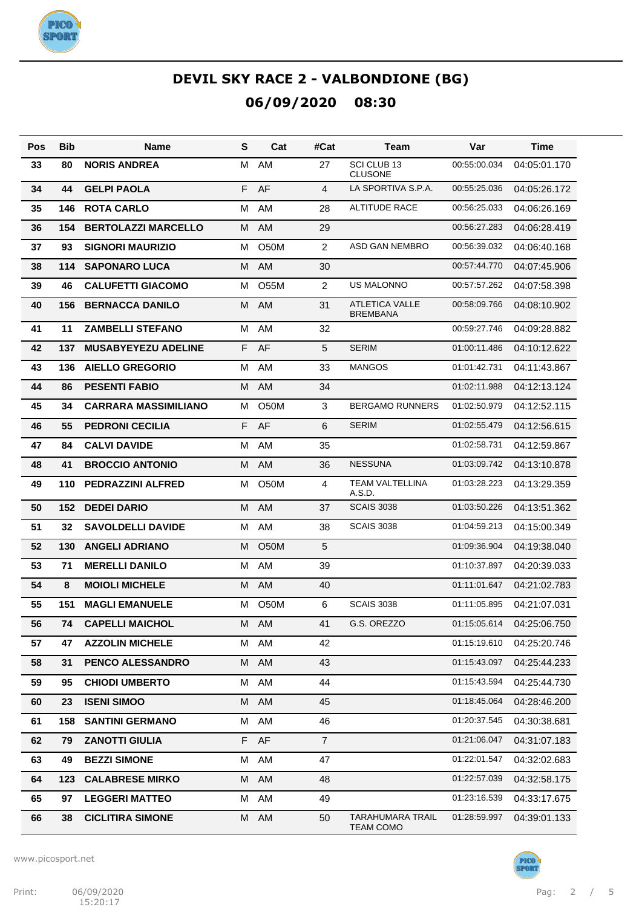

| Pos | <b>Bib</b> | <b>Name</b>                 | S | Cat               | #Cat           | Team                                        | Var          | Time         |
|-----|------------|-----------------------------|---|-------------------|----------------|---------------------------------------------|--------------|--------------|
| 33  | 80         | <b>NORIS ANDREA</b>         | М | AM                | 27             | SCI CLUB 13<br><b>CLUSONE</b>               | 00:55:00.034 | 04:05:01.170 |
| 34  | 44         | <b>GELPI PAOLA</b>          | F | AF                | 4              | LA SPORTIVA S.P.A.                          | 00:55:25.036 | 04:05:26.172 |
| 35  | 146        | <b>ROTA CARLO</b>           | м | AM                | 28             | <b>ALTITUDE RACE</b>                        | 00:56:25.033 | 04:06:26.169 |
| 36  | 154        | <b>BERTOLAZZI MARCELLO</b>  | M | <b>AM</b>         | 29             |                                             | 00:56:27.283 | 04:06:28.419 |
| 37  | 93         | <b>SIGNORI MAURIZIO</b>     | м | <b>O50M</b>       | 2              | ASD GAN NEMBRO                              | 00:56:39.032 | 04:06:40.168 |
| 38  | 114        | <b>SAPONARO LUCA</b>        | M | <b>AM</b>         | 30             |                                             | 00:57:44.770 | 04:07:45.906 |
| 39  | 46         | <b>CALUFETTI GIACOMO</b>    | м | <b>O55M</b>       | 2              | <b>US MALONNO</b>                           | 00:57:57.262 | 04:07:58.398 |
| 40  | 156        | <b>BERNACCA DANILO</b>      | M | AM                | 31             | <b>ATLETICA VALLE</b><br><b>BREMBANA</b>    | 00:58:09.766 | 04:08:10.902 |
| 41  | 11         | <b>ZAMBELLI STEFANO</b>     | М | AM                | 32             |                                             | 00:59:27.746 | 04:09:28.882 |
| 42  | 137        | <b>MUSABYEYEZU ADELINE</b>  | F | AF                | 5              | <b>SERIM</b>                                | 01:00:11.486 | 04:10:12.622 |
| 43  | 136        | <b>AIELLO GREGORIO</b>      | М | AM                | 33             | <b>MANGOS</b>                               | 01:01:42.731 | 04:11:43.867 |
| 44  | 86         | <b>PESENTI FABIO</b>        | M | AM                | 34             |                                             | 01:02:11.988 | 04:12:13.124 |
| 45  | 34         | <b>CARRARA MASSIMILIANO</b> | М | <b>O50M</b>       | 3              | BERGAMO RUNNERS                             | 01:02:50.979 | 04:12:52.115 |
| 46  | 55         | <b>PEDRONI CECILIA</b>      | F | AF                | 6              | <b>SERIM</b>                                | 01:02:55.479 | 04:12:56.615 |
| 47  | 84         | <b>CALVI DAVIDE</b>         | M | AM                | 35             |                                             | 01:02:58.731 | 04:12:59.867 |
| 48  | 41         | <b>BROCCIO ANTONIO</b>      | M | AM                | 36             | <b>NESSUNA</b>                              | 01:03:09.742 | 04:13:10.878 |
| 49  | 110        | <b>PEDRAZZINI ALFRED</b>    | M | <b>O50M</b>       | 4              | <b>TEAM VALTELLINA</b><br>A.S.D.            | 01:03:28.223 | 04:13:29.359 |
| 50  | 152        | <b>DEDEI DARIO</b>          | M | AM                | 37             | <b>SCAIS 3038</b>                           | 01:03:50.226 | 04:13:51.362 |
| 51  | 32         | <b>SAVOLDELLI DAVIDE</b>    | м | AM                | 38             | <b>SCAIS 3038</b>                           | 01:04:59.213 | 04:15:00.349 |
| 52  | 130        | <b>ANGELI ADRIANO</b>       | М | O <sub>5</sub> 0M | 5              |                                             | 01:09:36.904 | 04:19:38.040 |
| 53  | 71         | <b>MERELLI DANILO</b>       | м | AM                | 39             |                                             | 01:10:37.897 | 04:20:39.033 |
| 54  | 8          | <b>MOIOLI MICHELE</b>       | м | AM                | 40             |                                             | 01:11:01.647 | 04:21:02.783 |
| 55  | 151        | <b>MAGLI EMANUELE</b>       | М | O50M              | 6              | <b>SCAIS 3038</b>                           | 01:11:05.895 | 04:21:07.031 |
| 56  | 74         | <b>CAPELLI MAICHOL</b>      |   | M AM              | 41             | G.S. OREZZO                                 | 01:15:05.614 | 04:25:06.750 |
| 57  | 47         | <b>AZZOLIN MICHELE</b>      | М | AM                | 42             |                                             | 01:15:19.610 | 04:25:20.746 |
| 58  | 31         | PENCO ALESSANDRO            | М | AM                | 43             |                                             | 01:15:43.097 | 04:25:44.233 |
| 59  | 95         | <b>CHIODI UMBERTO</b>       | м | AM                | 44             |                                             | 01:15:43.594 | 04:25:44.730 |
| 60  | 23         | <b>ISENI SIMOO</b>          | М | AM                | 45             |                                             | 01:18:45.064 | 04:28:46.200 |
| 61  | 158        | <b>SANTINI GERMANO</b>      | м | AM                | 46             |                                             | 01:20:37.545 | 04:30:38.681 |
| 62  | 79         | <b>ZANOTTI GIULIA</b>       | F | AF                | $\overline{7}$ |                                             | 01:21:06.047 | 04:31:07.183 |
| 63  | 49         | <b>BEZZI SIMONE</b>         | м | AM                | 47             |                                             | 01:22:01.547 | 04:32:02.683 |
| 64  | 123        | <b>CALABRESE MIRKO</b>      | М | AM                | 48             |                                             | 01:22:57.039 | 04:32:58.175 |
| 65  | 97         | <b>LEGGERI MATTEO</b>       | м | AM                | 49             |                                             | 01:23:16.539 | 04:33:17.675 |
| 66  | 38         | <b>CICLITIRA SIMONE</b>     | М | AM                | 50             | <b>TARAHUMARA TRAIL</b><br><b>TEAM COMO</b> | 01:28:59.997 | 04:39:01.133 |

www.picosport.net



PICO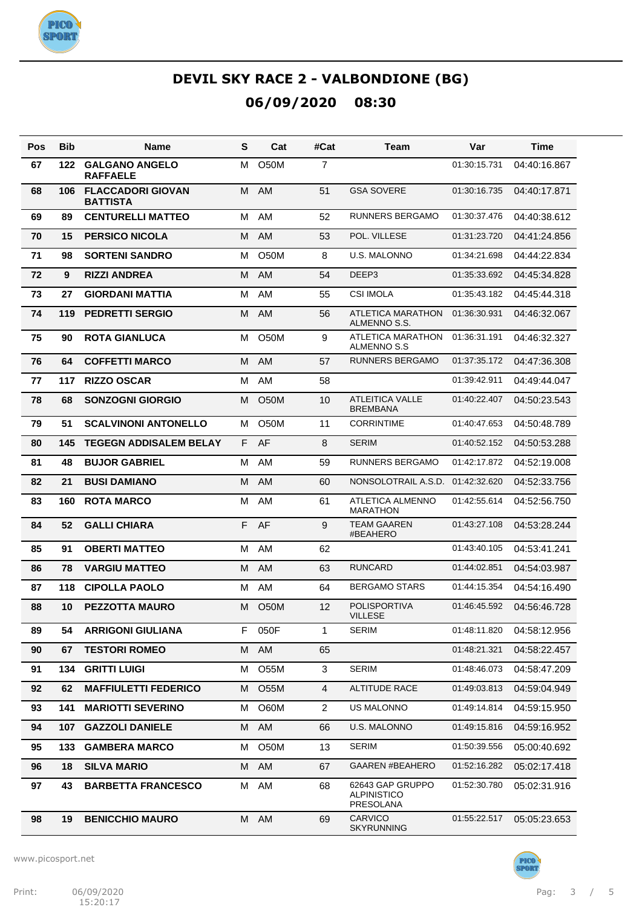

| Pos | <b>Bib</b> | Name                                        | S  | Cat               | #Cat           | Team                                                | Var          | Time         |
|-----|------------|---------------------------------------------|----|-------------------|----------------|-----------------------------------------------------|--------------|--------------|
| 67  | 122        | <b>GALGANO ANGELO</b><br><b>RAFFAELE</b>    | м  | O <sub>5</sub> 0M | $\overline{7}$ |                                                     | 01:30:15.731 | 04:40:16.867 |
| 68  | 106        | <b>FLACCADORI GIOVAN</b><br><b>BATTISTA</b> | М  | AM                | 51             | <b>GSA SOVERE</b>                                   | 01:30:16.735 | 04:40:17.871 |
| 69  | 89         | <b>CENTURELLI MATTEO</b>                    | м  | AM                | 52             | RUNNERS BERGAMO                                     | 01:30:37.476 | 04:40:38.612 |
| 70  | 15         | <b>PERSICO NICOLA</b>                       | м  | AM                | 53             | POL. VILLESE                                        | 01:31:23.720 | 04:41:24.856 |
| 71  | 98         | <b>SORTENI SANDRO</b>                       | м  | <b>O50M</b>       | 8              | <b>U.S. MALONNO</b>                                 | 01:34:21.698 | 04:44:22.834 |
| 72  | 9          | <b>RIZZI ANDREA</b>                         | М  | AM                | 54             | DEEP3                                               | 01:35:33.692 | 04:45:34.828 |
| 73  | 27         | <b>GIORDANI MATTIA</b>                      | м  | AM                | 55             | <b>CSI IMOLA</b>                                    | 01:35:43.182 | 04:45:44.318 |
| 74  | 119        | <b>PEDRETTI SERGIO</b>                      | м  | AM                | 56             | <b>ATLETICA MARATHON</b><br>ALMENNO S.S.            | 01:36:30.931 | 04:46:32.067 |
| 75  | 90         | <b>ROTA GIANLUCA</b>                        | м  | <b>O50M</b>       | 9              | ATLETICA MARATHON<br>ALMENNO S.S                    | 01:36:31.191 | 04:46:32.327 |
| 76  | 64         | <b>COFFETTI MARCO</b>                       | M  | AM                | 57             | <b>RUNNERS BERGAMO</b>                              | 01:37:35.172 | 04:47:36.308 |
| 77  | 117        | <b>RIZZO OSCAR</b>                          | М  | AM                | 58             |                                                     | 01:39:42.911 | 04:49:44.047 |
| 78  | 68         | <b>SONZOGNI GIORGIO</b>                     | м  | O <sub>5</sub> 0M | 10             | <b>ATLEITICA VALLE</b><br><b>BREMBANA</b>           | 01:40:22.407 | 04:50:23.543 |
| 79  | 51         | <b>SCALVINONI ANTONELLO</b>                 | м  | O <sub>50</sub> M | 11             | <b>CORRINTIME</b>                                   | 01:40:47.653 | 04:50:48.789 |
| 80  | 145        | <b>TEGEGN ADDISALEM BELAY</b>               | F. | AF                | 8              | <b>SERIM</b>                                        | 01:40:52.152 | 04:50:53.288 |
| 81  | 48         | <b>BUJOR GABRIEL</b>                        | м  | AM                | 59             | <b>RUNNERS BERGAMO</b>                              | 01:42:17.872 | 04:52:19.008 |
| 82  | 21         | <b>BUSI DAMIANO</b>                         | м  | <b>AM</b>         | 60             | NONSOLOTRAIL A.S.D.                                 | 01:42:32.620 | 04:52:33.756 |
| 83  | 160        | <b>ROTA MARCO</b>                           | М  | AM                | 61             | <b>ATLETICA ALMENNO</b><br><b>MARATHON</b>          | 01:42:55.614 | 04:52:56.750 |
| 84  | 52         | <b>GALLI CHIARA</b>                         | F. | AF                | 9              | TEAM GAAREN<br>#BEAHERO                             | 01:43:27.108 | 04:53:28.244 |
| 85  | 91         | <b>OBERTI MATTEO</b>                        | М  | AM                | 62             |                                                     | 01:43:40.105 | 04:53:41.241 |
| 86  | 78         | <b>VARGIU MATTEO</b>                        | м  | AM                | 63             | <b>RUNCARD</b>                                      | 01:44:02.851 | 04:54:03.987 |
| 87  | 118        | <b>CIPOLLA PAOLO</b>                        | М  | AM                | 64             | <b>BERGAMO STARS</b>                                | 01:44:15.354 | 04:54:16.490 |
| 88  | 10         | <b>PEZZOTTA MAURO</b>                       | м  | O <sub>5</sub> 0M | 12             | <b>POLISPORTIVA</b><br><b>VILLESE</b>               | 01:46:45.592 | 04:56:46.728 |
| 89  | 54         | <b>ARRIGONI GIULIANA</b>                    |    | F 050F            | 1              | <b>SERIM</b>                                        | 01:48:11.820 | 04:58:12.956 |
| 90  | 67         | <b>TESTORI ROMEO</b>                        | М  | AM                | 65             |                                                     | 01:48:21.321 | 04:58:22.457 |
| 91  | 134        | <b>GRITTI LUIGI</b>                         | м  | <b>O55M</b>       | 3              | <b>SERIM</b>                                        | 01:48:46.073 | 04:58:47.209 |
| 92  | 62         | <b>MAFFIULETTI FEDERICO</b>                 | м  | <b>O55M</b>       | $\overline{4}$ | <b>ALTITUDE RACE</b>                                | 01:49:03.813 | 04:59:04.949 |
| 93  | 141        | <b>MARIOTTI SEVERINO</b>                    | м  | O60M              | $\overline{2}$ | US MALONNO                                          | 01:49:14.814 | 04:59:15.950 |
| 94  | 107        | <b>GAZZOLI DANIELE</b>                      | М  | AM                | 66             | <b>U.S. MALONNO</b>                                 | 01:49:15.816 | 04:59:16.952 |
| 95  | 133        | <b>GAMBERA MARCO</b>                        | м  | O50M              | 13             | <b>SERIM</b>                                        | 01:50:39.556 | 05:00:40.692 |
| 96  | 18         | <b>SILVA MARIO</b>                          | М  | AM                | 67             | <b>GAAREN #BEAHERO</b>                              | 01:52:16.282 | 05:02:17.418 |
| 97  | 43         | <b>BARBETTA FRANCESCO</b>                   | м  | AM                | 68             | 62643 GAP GRUPPO<br><b>ALPINISTICO</b><br>PRESOLANA | 01:52:30.780 | 05:02:31.916 |
| 98  | 19         | <b>BENICCHIO MAURO</b>                      |    | M AM              | 69             | CARVICO<br><b>SKYRUNNING</b>                        | 01:55:22.517 | 05:05:23.653 |

www.picosport.net



**PICO**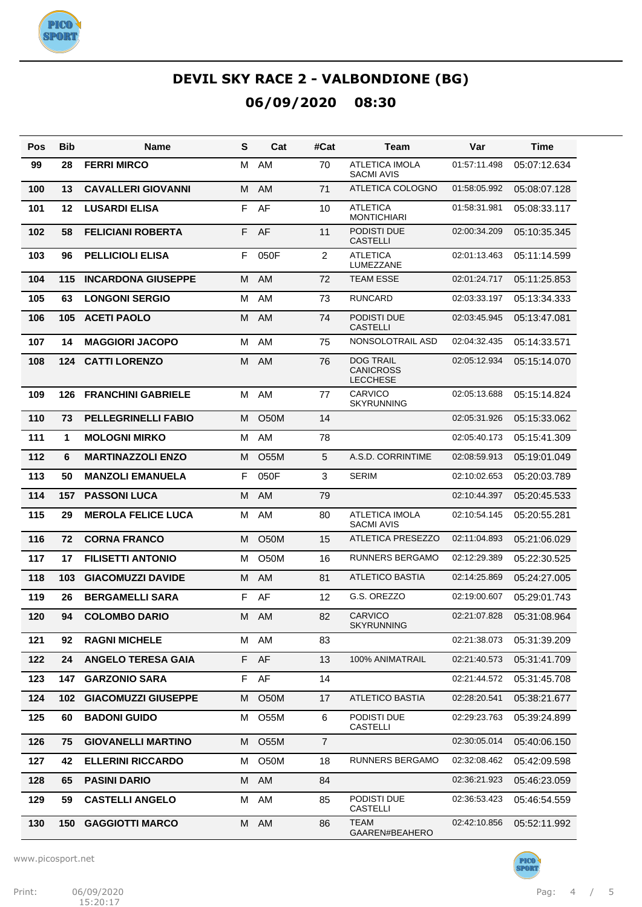

| Pos | Bib | Name                       | S  | Cat         | #Cat           | Team                                                    | Var          | Time         |
|-----|-----|----------------------------|----|-------------|----------------|---------------------------------------------------------|--------------|--------------|
| 99  | 28  | <b>FERRI MIRCO</b>         | м  | AM          | 70             | <b>ATLETICA IMOLA</b><br>SACMI AVIS                     | 01:57:11.498 | 05:07:12.634 |
| 100 | 13  | <b>CAVALLERI GIOVANNI</b>  | M  | AM          | 71             | ATLETICA COLOGNO                                        | 01:58:05.992 | 05:08:07.128 |
| 101 | 12  | <b>LUSARDI ELISA</b>       | F  | AF          | 10             | <b>ATLETICA</b><br><b>MONTICHIARI</b>                   | 01:58:31.981 | 05:08:33.117 |
| 102 | 58  | <b>FELICIANI ROBERTA</b>   | F. | AF          | 11             | PODISTI DUE<br><b>CASTELLI</b>                          | 02:00:34.209 | 05:10:35.345 |
| 103 | 96  | <b>PELLICIOLI ELISA</b>    | F  | 050F        | 2              | <b>ATLETICA</b><br>LUMEZZANE                            | 02:01:13.463 | 05:11:14.599 |
| 104 | 115 | <b>INCARDONA GIUSEPPE</b>  | M  | AM          | 72             | <b>TEAM ESSE</b>                                        | 02:01:24.717 | 05:11:25.853 |
| 105 | 63  | <b>LONGONI SERGIO</b>      | м  | AM          | 73             | <b>RUNCARD</b>                                          | 02:03:33.197 | 05:13:34.333 |
| 106 | 105 | <b>ACETI PAOLO</b>         | M  | AM          | 74             | PODISTI DUE<br><b>CASTELLI</b>                          | 02:03:45.945 | 05:13:47.081 |
| 107 | 14  | <b>MAGGIORI JACOPO</b>     | М  | AM          | 75             | NONSOLOTRAIL ASD                                        | 02:04:32.435 | 05:14:33.571 |
| 108 | 124 | <b>CATTI LORENZO</b>       | м  | AM          | 76             | <b>DOG TRAIL</b><br><b>CANICROSS</b><br><b>LECCHESE</b> | 02:05:12.934 | 05:15:14.070 |
| 109 | 126 | <b>FRANCHINI GABRIELE</b>  | М  | AM          | 77             | CARVICO<br><b>SKYRUNNING</b>                            | 02:05:13.688 | 05:15:14.824 |
| 110 | 73  | <b>PELLEGRINELLI FABIO</b> | м  | <b>O50M</b> | 14             |                                                         | 02:05:31.926 | 05:15:33.062 |
| 111 | 1   | <b>MOLOGNI MIRKO</b>       | м  | AM          | 78             |                                                         | 02:05:40.173 | 05:15:41.309 |
| 112 | 6   | <b>MARTINAZZOLI ENZO</b>   | м  | <b>O55M</b> | 5              | A.S.D. CORRINTIME                                       | 02:08:59.913 | 05:19:01.049 |
| 113 | 50  | <b>MANZOLI EMANUELA</b>    | F  | 050F        | 3              | <b>SERIM</b>                                            | 02:10:02.653 | 05:20:03.789 |
| 114 | 157 | <b>PASSONI LUCA</b>        | M  | <b>AM</b>   | 79             |                                                         | 02:10:44.397 | 05:20:45.533 |
| 115 | 29  | <b>MEROLA FELICE LUCA</b>  | м  | AM          | 80             | <b>ATLETICA IMOLA</b><br><b>SACMI AVIS</b>              | 02:10:54.145 | 05:20:55.281 |
| 116 | 72  | <b>CORNA FRANCO</b>        | М  | <b>O50M</b> | 15             | <b>ATLETICA PRESEZZO</b>                                | 02:11:04.893 | 05:21:06.029 |
| 117 | 17  | <b>FILISETTI ANTONIO</b>   | м  | O50M        | 16             | <b>RUNNERS BERGAMO</b>                                  | 02:12:29.389 | 05:22:30.525 |
| 118 | 103 | <b>GIACOMUZZI DAVIDE</b>   | м  | AM          | 81             | <b>ATLETICO BASTIA</b>                                  | 02:14:25.869 | 05:24:27.005 |
| 119 | 26  | <b>BERGAMELLI SARA</b>     | F  | AF          | 12             | G.S. OREZZO                                             | 02:19:00.607 | 05:29:01.743 |
| 120 | 94  | <b>COLOMBO DARIO</b>       | м  | AM          | 82             | <b>CARVICO</b><br><b>SKYRUNNING</b>                     | 02:21:07.828 | 05:31:08.964 |
| 121 | 92  | <b>RAGNI MICHELE</b>       | М  | AM          | 83             |                                                         | 02:21:38.073 | 05:31:39.209 |
| 122 | 24  | <b>ANGELO TERESA GAIA</b>  | F. | AF          | 13             | 100% ANIMATRAIL                                         | 02:21:40.573 | 05:31:41.709 |
| 123 | 147 | <b>GARZONIO SARA</b>       | F  | AF          | 14             |                                                         | 02:21:44.572 | 05:31:45.708 |
| 124 | 102 | <b>GIACOMUZZI GIUSEPPE</b> | М  | O50M        | 17             | <b>ATLETICO BASTIA</b>                                  | 02:28:20.541 | 05:38:21.677 |
| 125 | 60  | <b>BADONI GUIDO</b>        | М  | <b>O55M</b> | 6              | PODISTI DUE<br><b>CASTELLI</b>                          | 02:29:23.763 | 05:39:24.899 |
| 126 | 75  | <b>GIOVANELLI MARTINO</b>  | М  | <b>O55M</b> | $\overline{7}$ |                                                         | 02:30:05.014 | 05:40:06.150 |
| 127 | 42  | <b>ELLERINI RICCARDO</b>   | М  | O50M        | 18             | RUNNERS BERGAMO                                         | 02:32:08.462 | 05:42:09.598 |
| 128 | 65  | <b>PASINI DARIO</b>        | М  | AM          | 84             |                                                         | 02:36:21.923 | 05:46:23.059 |
| 129 | 59  | <b>CASTELLI ANGELO</b>     | М  | AM          | 85             | PODISTI DUE<br><b>CASTELLI</b>                          | 02:36:53.423 | 05:46:54.559 |
| 130 | 150 | <b>GAGGIOTTI MARCO</b>     | М  | AM          | 86             | <b>TEAM</b><br>GAAREN#BEAHERO                           | 02:42:10.856 | 05:52:11.992 |